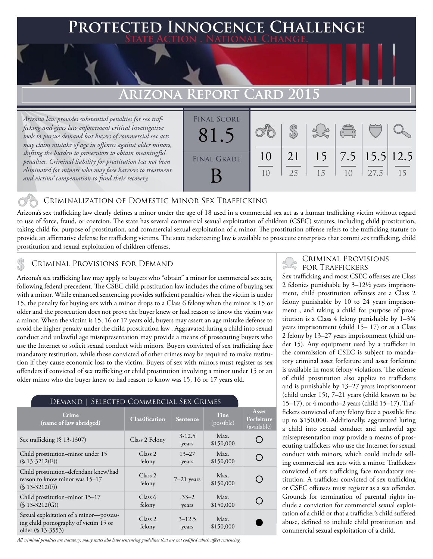### **Protected Innocence Challenge State Action . National Change.**

## **Arizona Report Card 2015**

*Arizona law provides substantial penalties for sex trafficking and gives law enforcement critical investigative tools to pursue demand but buyers of commercial sex acts may claim mistake of age in offenses against older minors, shifting the burden to prosecutors to obtain meaningful penalties. Criminal liability for prostitution has not been eliminated for minors who may face barriers to treatment and victims' compensation to fund their recovery.*



#### Criminalization of Domestic Minor Sex Trafficking

Arizona's sex trafficking law clearly defines a minor under the age of 18 used in a commercial sex act as a human trafficking victim without regard to use of force, fraud, or coercion. The state has several commercial sexual exploitation of children (CSEC) statutes, including child prostitution, taking child for purpose of prostitution, and commercial sexual exploitation of a minor. The prostitution offense refers to the trafficking statute to provide an affirmative defense for trafficking victims. The state racketeering law is available to prosecute enterprises that commi sex trafficking, child prostitution and sexual exploitation of children offenses.

### FOR TRAFFICKERS TO TRAFFICKERS TO TRAFFICKERS TO TRAFFICKERS

Arizona's sex trafficking law may apply to buyers who "obtain" a minor for commercial sex acts, following federal precedent. The CSEC child prostitution law includes the crime of buying sex with a minor. While enhanced sentencing provides sufficient penalties when the victim is under 15, the penalty for buying sex with a minor drops to a Class 6 felony when the minor is 15 or older and the prosecution does not prove the buyer knew or had reason to know the victim was a minor. When the victim is 15, 16 or 17 years old, buyers may assert an age mistake defense to avoid the higher penalty under the child prostitution law . Aggravated luring a child into sexual conduct and unlawful age misrepresentation may provide a means of prosecuting buyers who use the Internet to solicit sexual conduct with minors. Buyers convicted of sex trafficking face mandatory restitution, while those convicted of other crimes may be required to make restitution if they cause economic loss to the victim. Buyers of sex with minors must register as sex offenders if convicted of sex trafficking or child prostitution involving a minor under 15 or an older minor who the buyer knew or had reason to know was 15, 16 or 17 years old.

| DEMAND   SELECTED COMMERCIAL SEX CRIMES                                                               |                              |                     |                    |                                           |
|-------------------------------------------------------------------------------------------------------|------------------------------|---------------------|--------------------|-------------------------------------------|
| Crime<br>(name of law abridged)                                                                       | <b>Classification</b>        | <b>Sentence</b>     | Fine<br>(possible) | <b>Asset</b><br>Forfeiture<br>(available) |
| Sex trafficking $(\S 13-1307)$                                                                        | Class 2 Felony               | $3 - 12.5$<br>years | Max.<br>\$150,000  |                                           |
| Child prostitution-minor under 15<br>$(S 13-3212(E))$                                                 | Class <sub>2</sub><br>felony | $13 - 27$<br>years  | Max.<br>\$150,000  |                                           |
| Child prostitution-defendant knew/had<br>reason to know minor was 15-17<br>$(S 13-3212(F))$           | Class <sub>2</sub><br>felony | $7-21$ years        | Max.<br>\$150,000  |                                           |
| Child prostitution–minor 15–17<br>$(S 13-3212(G))$                                                    | Class 6<br>felony            | $.33 - 2$<br>years  | Max.<br>\$150,000  |                                           |
| Sexual exploitation of a minor-possess-<br>ing child pornography of victim 15 or<br>older (§ 13-3553) | Class <sub>2</sub><br>felony | $3 - 12.5$<br>years | Max.<br>\$150,000  |                                           |

*All criminal penalties are statutory; many states also have sentencing guidelines that are not codified which affect sentencing.* 

# Criminal Provisions

Sex trafficking and most CSEC offenses are Class 2 felonies punishable by 3–12½ years imprisonment, child prostitution offenses are a Class 2 felony punishable by 10 to 24 years imprisonment , and taking a child for purpose of prostitution is a Class 4 felony punishable by 1–3¾ years imprisonment (child 15– 17) or as a Class 2 felony by 13–27 years imprisonment (child under 15). Any equipment used by a trafficker in the commission of CSEC is subject to mandatory criminal asset forfeiture and asset forfeiture is available in most felony violations. The offense of child prostitution also applies to traffickers and is punishable by 13–27 years imprisonment (child under 15), 7–21 years (child known to be 15–17), or 4 months–2 years (child 15–17). Traffickers convicted of any felony face a possible fine up to \$150,000. Additionally, aggravated luring a child into sexual conduct and unlawful age misrepresentation may provide a means of prosecuting traffickers who use the Internet for sexual conduct with minors, which could include selling commercial sex acts with a minor. Traffickers convicted of sex trafficking face mandatory restitution. A trafficker convicted of sex trafficking or CSEC offenses must register as a sex offender. Grounds for termination of parental rights include a conviction for commercial sexual exploitation of a child or that a trafficker's child suffered abuse, defined to include child prostitution and commercial sexual exploitation of a child.